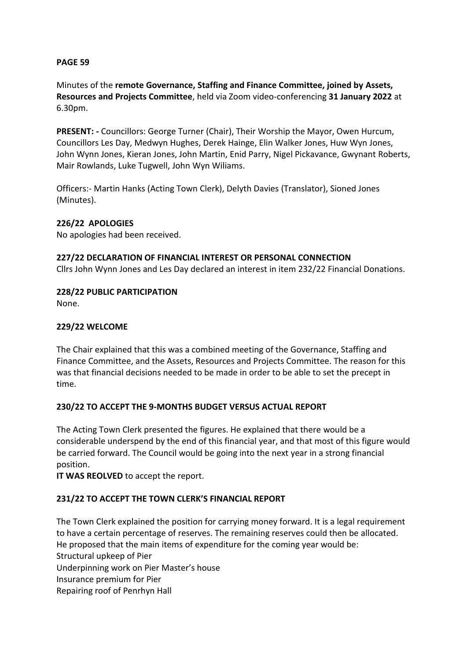### **PAGE 59**

Minutes of the **remote Governance, Staffing and Finance Committee, joined by Assets, Resources and Projects Committee**, held via Zoom video-conferencing **31 January 2022** at 6.30pm.

**PRESENT: -** Councillors: George Turner (Chair), Their Worship the Mayor, Owen Hurcum, Councillors Les Day, Medwyn Hughes, Derek Hainge, Elin Walker Jones, Huw Wyn Jones, John Wynn Jones, Kieran Jones, John Martin, Enid Parry, Nigel Pickavance, Gwynant Roberts, Mair Rowlands, Luke Tugwell, John Wyn Wiliams.

Officers:- Martin Hanks (Acting Town Clerk), Delyth Davies (Translator), Sioned Jones (Minutes).

# **226/22 APOLOGIES**

No apologies had been received.

#### **227/22 DECLARATION OF FINANCIAL INTEREST OR PERSONAL CONNECTION**

Cllrs John Wynn Jones and Les Day declared an interest in item 232/22 Financial Donations.

### **228/22 PUBLIC PARTICIPATION**

None.

### **229/22 WELCOME**

The Chair explained that this was a combined meeting of the Governance, Staffing and Finance Committee, and the Assets, Resources and Projects Committee. The reason for this was that financial decisions needed to be made in order to be able to set the precept in time.

# **230/22 TO ACCEPT THE 9-MONTHS BUDGET VERSUS ACTUAL REPORT**

The Acting Town Clerk presented the figures. He explained that there would be a considerable underspend by the end of this financial year, and that most of this figure would be carried forward. The Council would be going into the next year in a strong financial position.

**IT WAS REOLVED** to accept the report.

#### **231/22 TO ACCEPT THE TOWN CLERK'S FINANCIAL REPORT**

The Town Clerk explained the position for carrying money forward. It is a legal requirement to have a certain percentage of reserves. The remaining reserves could then be allocated. He proposed that the main items of expenditure for the coming year would be: Structural upkeep of Pier Underpinning work on Pier Master's house Insurance premium for Pier Repairing roof of Penrhyn Hall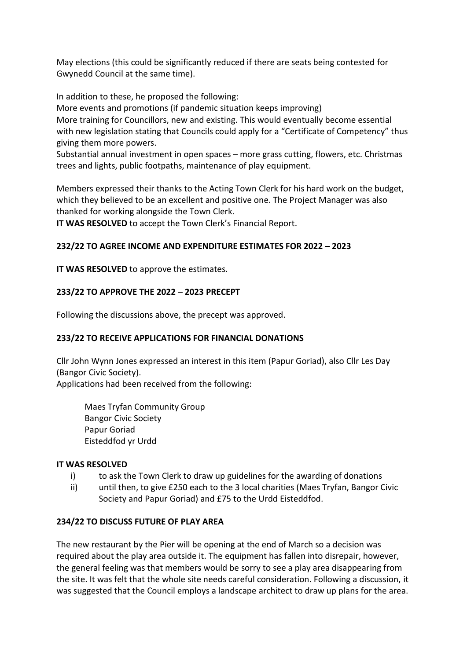May elections (this could be significantly reduced if there are seats being contested for Gwynedd Council at the same time).

In addition to these, he proposed the following:

More events and promotions (if pandemic situation keeps improving)

More training for Councillors, new and existing. This would eventually become essential with new legislation stating that Councils could apply for a "Certificate of Competency" thus giving them more powers.

Substantial annual investment in open spaces – more grass cutting, flowers, etc. Christmas trees and lights, public footpaths, maintenance of play equipment.

Members expressed their thanks to the Acting Town Clerk for his hard work on the budget, which they believed to be an excellent and positive one. The Project Manager was also thanked for working alongside the Town Clerk.

**IT WAS RESOLVED** to accept the Town Clerk's Financial Report.

# **232/22 TO AGREE INCOME AND EXPENDITURE ESTIMATES FOR 2022 – 2023**

**IT WAS RESOLVED** to approve the estimates.

### **233/22 TO APPROVE THE 2022 – 2023 PRECEPT**

Following the discussions above, the precept was approved.

# **233/22 TO RECEIVE APPLICATIONS FOR FINANCIAL DONATIONS**

Cllr John Wynn Jones expressed an interest in this item (Papur Goriad), also Cllr Les Day (Bangor Civic Society). Applications had been received from the following:

Maes Tryfan Community Group Bangor Civic Society Papur Goriad Eisteddfod yr Urdd

#### **IT WAS RESOLVED**

- i) to ask the Town Clerk to draw up guidelines for the awarding of donations
- ii) until then, to give £250 each to the 3 local charities (Maes Tryfan, Bangor Civic Society and Papur Goriad) and £75 to the Urdd Eisteddfod.

# **234/22 TO DISCUSS FUTURE OF PLAY AREA**

The new restaurant by the Pier will be opening at the end of March so a decision was required about the play area outside it. The equipment has fallen into disrepair, however, the general feeling was that members would be sorry to see a play area disappearing from the site. It was felt that the whole site needs careful consideration. Following a discussion, it was suggested that the Council employs a landscape architect to draw up plans for the area.